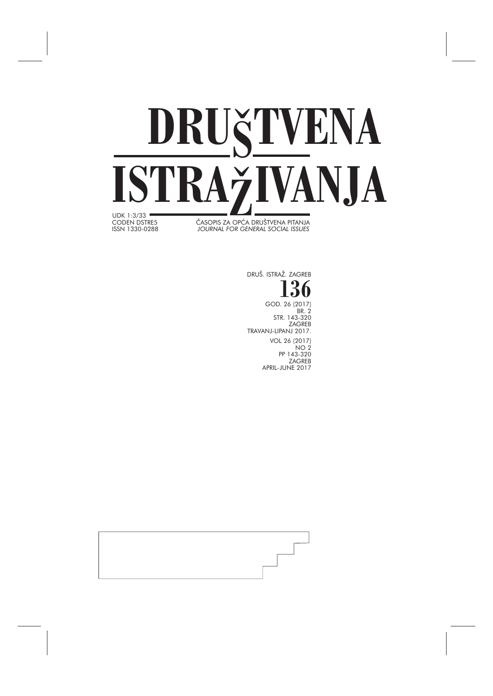

ČASOPIS ZA OPĆA DRUŠTVENA PITANJA ISSN 1330-0288 *JOURNAL FOR GENERAL SOCIAL ISSUES*

> **136** GOD. 26 (2017) BR. 2 STR. 143-320 ZAGREB TRAVANJ-LIPANJ 2017. VOL 26 (2017) NO 2

PP 143-320 ZAGREB APRIL-JUNE 2017

DRUŠ. ISTRAŽ. ZAGREB